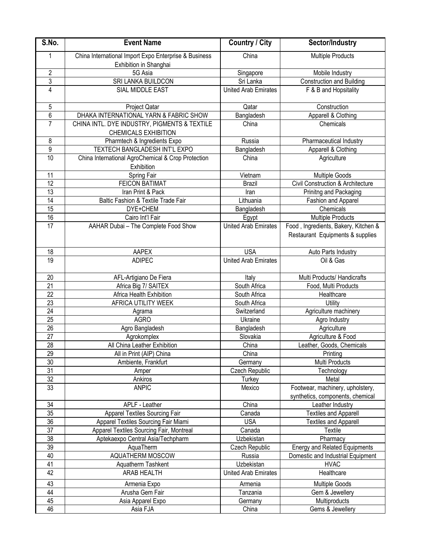| S.No.           | <b>Event Name</b>                                                               | <b>Country / City</b>       | Sector/Industry                                                          |
|-----------------|---------------------------------------------------------------------------------|-----------------------------|--------------------------------------------------------------------------|
| 1               | China International Import Expo Enterprise & Business<br>Exhibition in Shanghai | China                       | <b>Multiple Products</b>                                                 |
| $\overline{2}$  | 5G Asia                                                                         | Singapore                   | Mobile Industry                                                          |
| 3               | SRI LANKA BUILDCON                                                              | Sri Lanka                   | <b>Construction and Building</b>                                         |
| $\overline{4}$  | SIAL MIDDLE EAST                                                                | <b>United Arab Emirates</b> | $\overline{F}$ & B and Hopsitality                                       |
| 5               | Project Qatar                                                                   | Qatar                       | Construction                                                             |
| 6               | DHAKA INTERNATIONAL YARN & FABRIC SHOW                                          | Bangladesh                  | Apparell & Clothing                                                      |
| $\overline{7}$  | CHINA INTL. DYE INDUSTRY, PIGMENTS & TEXTILE<br><b>CHEMICALS EXHIBITION</b>     | China                       | Chemicals                                                                |
| 8               | Pharmtech & Ingredients Expo                                                    | Russia                      | Pharmaceutical Industry                                                  |
| 9               | TEXTECH BANGLADESH INT'L EXPO                                                   | Bangladesh                  | Apparell & Clothing                                                      |
| 10              | China International AgroChemical & Crop Protection<br>Exhibition                | China                       | Agriculture                                                              |
| 11              | Spring Fair                                                                     | Vietnam                     | Multiple Goods                                                           |
| $\overline{12}$ | <b>FEICON BATIMAT</b>                                                           | <b>Brazil</b>               | Civil Construction & Architecture                                        |
| 13              | Iran Print & Pack                                                               | Iran                        | Prinitng and Packaging                                                   |
| $\overline{14}$ | Baltic Fashion & Textile Trade Fair                                             | Lithuania                   | Fashion and Apparel                                                      |
| 15              | DYE+CHEM                                                                        | Bangladesh                  | Chemicals                                                                |
| 16              | Cairo Int'l Fair                                                                | Egypt                       | <b>Multiple Products</b>                                                 |
| 17              | AAHAR Dubai - The Complete Food Show                                            | <b>United Arab Emirates</b> | Food, Ingredients, Bakery, Kitchen &<br>Restaurant Equipments & supplies |
| 18              | AAPEX                                                                           | <b>USA</b>                  | Auto Parts Industry                                                      |
| 19              | <b>ADIPEC</b>                                                                   | <b>United Arab Emirates</b> | Oil & Gas                                                                |
| 20              | AFL-Artigiano De Fiera                                                          | Italy                       | Multi Products/ Handicrafts                                              |
| $\overline{21}$ | Africa Big 7/ SAITEX                                                            | South Africa                | Food, Multi Products                                                     |
| $\overline{22}$ | Africa Health Exhibition                                                        | South Africa                | Healthcare                                                               |
| 23              | AFRICA UTILITY WEEK                                                             | South Africa                | Utility                                                                  |
| 24              | Agrama                                                                          | Switzerland                 | Agriculture machinery                                                    |
| 25              | <b>AGRO</b>                                                                     | Ukraine                     | Agro Industry                                                            |
| 26              | Agro Bangladesh                                                                 | Bangladesh                  | Agriculture                                                              |
| $\overline{27}$ | Agrokomplex                                                                     | Slovakia                    | Agriculture & Food                                                       |
| $\overline{28}$ | All China Leather Exhibition                                                    | China                       | Leather, Goods, Chemicals                                                |
| 29              | All in Print (AIP) China                                                        | China                       | Printing                                                                 |
| 30              | Ambiente, Frankfurt                                                             | Germany                     | Multi Products                                                           |
| 31              | Amper                                                                           | Czech Republic              | Technology                                                               |
| 32              | Ankiros                                                                         | Turkey                      | Metal                                                                    |
| 33              | <b>ANPIC</b>                                                                    | Mexico                      | Footwear, machinery, upholstery,<br>synthetics, components, chemical     |
| 34              | APLF - Leather                                                                  | China                       | Leather Industry                                                         |
| 35              | <b>Apparel Textiles Sourcing Fair</b>                                           | Canada                      | <b>Textiles and Apparell</b>                                             |
| 36              | Apparel Textiles Sourcing Fair Miami                                            | <b>USA</b>                  | <b>Textiles and Apparell</b>                                             |
| 37              | Apparel Textiles Sourcing Fair, Montreal                                        | Canada                      | Textile                                                                  |
| 38              | Aptekaexpo Central Asia/Techpharm                                               | Uzbekistan                  | Pharmacy                                                                 |
| 39              | AquaTherm                                                                       | Czech Republic              | <b>Energy and Related Equipments</b>                                     |
| 40              | AQUATHERM MOSCOW                                                                | Russia                      | Domestic and Industrial Equipment                                        |
| 41              | Aquatherm Tashkent                                                              | Uzbekistan                  | <b>HVAC</b>                                                              |
| 42              | <b>ARAB HEALTH</b>                                                              | <b>United Arab Emirates</b> | Healthcare                                                               |
| 43              | Armenia Expo                                                                    | Armenia                     | <b>Multiple Goods</b>                                                    |
| 44              | Arusha Gem Fair                                                                 | Tanzania                    | Gem & Jewellery                                                          |
| 45              | Asia Apparel Expo                                                               | Germany                     | Multiproducts                                                            |
| 46              | Asia FJA                                                                        | China                       | Gems & Jewellery                                                         |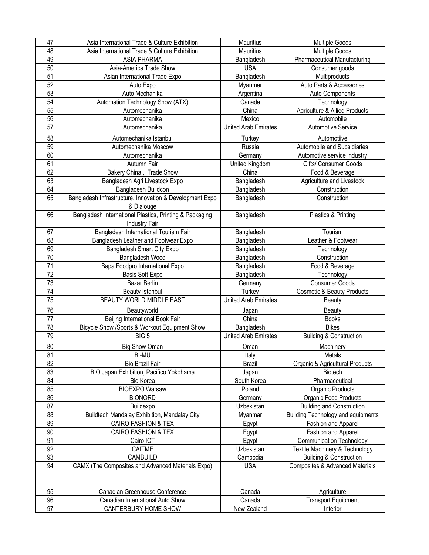| 47              | Asia International Trade & Culture Exhibition            | Mauritius                   | <b>Multiple Goods</b>                      |
|-----------------|----------------------------------------------------------|-----------------------------|--------------------------------------------|
| 48              | Asia International Trade & Culture Exhibition            | Mauritius                   | <b>Multiple Goods</b>                      |
| 49              | <b>ASIA PHARMA</b>                                       | Bangladesh                  | <b>Pharmaceutical Manufacturing</b>        |
| 50              | Asia-America Trade Show                                  | <b>USA</b>                  | Consumer goods                             |
| $\overline{51}$ | Asian International Trade Expo                           | Bangladesh                  | Multiproducts                              |
| 52              | Auto Expo                                                | Myanmar                     | Auto Parts & Accessories                   |
| 53              | Auto Mechanika                                           | Argentina                   | Auto Components                            |
| 54              | Automation Technology Show (ATX)                         | Canada                      | Technology                                 |
| 55              | Automechanika                                            | China                       | <b>Agriculture &amp; Allied Products</b>   |
| 56              | Automechanika                                            | Mexico                      | Automobile                                 |
| 57              | Automechanika                                            | <b>United Arab Emirates</b> | <b>Automotive Service</b>                  |
| 58              |                                                          |                             |                                            |
| 59              | Automechanika Istanbul                                   | Turkey                      | Automotiive                                |
| 60              | Automechanika Moscow                                     | Russia                      | Automobile and Subsidiaries                |
|                 | Automechanika                                            | Germany                     | Automotive service industry                |
| 61              | Autumn Fair                                              | United Kingdom              | Gifts/ Consumer Goods                      |
| 62              | Bakery China, Trade Show                                 | China                       | Food & Beverage                            |
| 63              | Bangladesh Agri Livestock Expo                           | Bangladesh                  | Agriculture and Livestock                  |
| 64              | Bangladesh Buildcon                                      | Bangladesh                  | Construction                               |
| 65              | Bangladesh Infrastructure, Innovation & Development Expo | Bangladesh                  | Construction                               |
|                 | & Dialouge                                               |                             |                                            |
| 66              | Bangladesh International Plastics, Printing & Packaging  | Bangladesh                  | Plastics & Printing                        |
|                 | <b>Industry Fair</b>                                     |                             |                                            |
| 67              | Bangladesh International Tourism Fair                    | Bangladesh                  | Tourism                                    |
| 68              | Bangladesh Leather and Footwear Expo                     | Bangladesh                  | Leather & Footwear                         |
| 69              | Bangladesh Smart City Expo                               | Bangladesh                  | Technology                                 |
| 70              | Bangladesh Wood                                          | Bangladesh                  | Construction                               |
| 71              | Bapa Foodpro International Expo                          | Bangladesh                  | Food & Beverage                            |
| $\overline{72}$ | Basis Soft Expo                                          | Bangladesh                  | Technology                                 |
| 73              | Bazar Berlin                                             | Germany                     | <b>Consumer Goods</b>                      |
| 74              | Beauty Istanbul                                          | Turkey                      | <b>Cosmetic &amp; Beauty Products</b>      |
| 75              | BEAUTY WORLD MIDDLE EAST                                 | <b>United Arab Emirates</b> | <b>Beauty</b>                              |
| 76              | Beautyworld                                              | Japan                       | <b>Beauty</b>                              |
| 77              | Beijing International Book Fair                          | China                       | <b>Books</b>                               |
| 78              | Bicycle Show /Sports & Workout Equipment Show            | Bangladesh                  | <b>Bikes</b>                               |
| 79              | BIG <sub>5</sub>                                         | <b>United Arab Emirates</b> | <b>Building &amp; Construction</b>         |
| 80              |                                                          |                             | Machinery                                  |
|                 | <b>Big Show Oman</b>                                     | Oman                        |                                            |
| 81              | <b>BI-MU</b>                                             | Italy                       | Metals                                     |
| 82<br>83        | Bio Brazil Fair                                          | <b>Brazil</b>               | Organic & Agricultural Products<br>Biotech |
|                 | BIO Japan Exhibition, Pacifico Yokohama                  | Japan                       |                                            |
| 84              | Bio Korea                                                | South Korea                 | Pharmaceutical                             |
| 85              | <b>BIOEXPO Warsaw</b>                                    | Poland                      | Organic Products                           |
| 86              | <b>BIONORD</b>                                           | Germany                     | Organic Food Products                      |
| 87              | Buildexpo                                                | Uzbekistan                  | <b>Building and Construction</b>           |
| 88              | Buildtech Mandalay Exhibition, Mandalay City             | Myanmar                     | <b>Building Technology and equipments</b>  |
| 89              | <b>CAIRO FASHION &amp; TEX</b>                           | Egypt                       | Fashion and Apparel                        |
| 90              | <b>CAIRO FASHION &amp; TEX</b>                           | Egypt                       | Fashion and Apparel                        |
| 91              | Cairo ICT                                                | Egypt                       | <b>Communication Technology</b>            |
| 92              | CAITME                                                   | Uzbekistan                  | Textile Machinery & Technology             |
| 93              | CAMBUILD                                                 | Cambodia                    | <b>Building &amp; Construction</b>         |
| 94              | CAMX (The Composites and Advanced Materials Expo)        | <b>USA</b>                  | <b>Composites &amp; Advanced Materials</b> |
|                 |                                                          |                             |                                            |
| 95              | Canadian Greenhouse Conference                           | Canada                      | Agriculture                                |
| 96              | Canadian International Auto Show                         | Canada                      | <b>Transport Equipment</b>                 |
| $\overline{97}$ | CANTERBURY HOME SHOW                                     | New Zealand                 | Interior                                   |
|                 |                                                          |                             |                                            |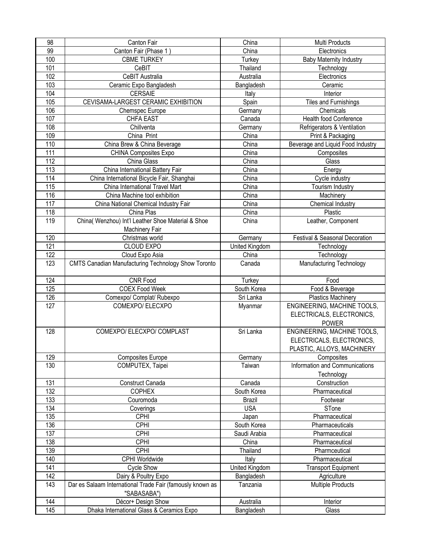| 98               | Canton Fair                                                              | China          | Multi Products                    |
|------------------|--------------------------------------------------------------------------|----------------|-----------------------------------|
| 99               | Canton Fair (Phase 1)                                                    | China          | Electronics                       |
| 100              | <b>CBME TURKEY</b>                                                       | Turkey         | <b>Baby Maternity Industry</b>    |
| 101              | CeBIT                                                                    | Thailand       | Technology                        |
| 102              | CeBIT Australia                                                          | Australia      | Electronics                       |
| 103              | Ceramic Expo Bangladesh                                                  | Bangladesh     | Ceramic                           |
| 104              | <b>CERSAIE</b>                                                           | Italy          | Interior                          |
| 105              | CEVISAMA-LARGEST CERAMIC EXHIBITION                                      | Spain          | Tiles and Furnishings             |
| 106              | Chemspec Europe                                                          | Germany        | Chemicals                         |
| 107              | <b>CHFA EAST</b>                                                         | Canada         | Health food Conference            |
| 108              | Chillventa                                                               | Germany        | Refrigerators & Ventilation       |
| 109              | China Print                                                              | China          | Print & Packaging                 |
| 110              | China Brew & China Beverage                                              | China          | Beverage and Liquid Food Industry |
| 111              |                                                                          | China          |                                   |
|                  | CHINA Composites Expo                                                    |                | Composites                        |
| 112              | China Glass                                                              | China          | Glass                             |
| 113              | China International Battery Fair                                         | China          | Energy                            |
| 114              | China International Bicycle Fair, Shanghai                               | China          | Cycle industry                    |
| 115              | China International Travel Mart                                          | China          | Tourism Industry                  |
| 116              | China Machine tool exhibition                                            | China          | Machinery                         |
| 117              | China National Chemical Industry Fair                                    | China          | Chemical Industry                 |
| 118              | China Plas                                                               | China          | Plastic                           |
| 119              | China( Wenzhou) Int'l Leather Shoe Material & Shoe<br>Machinery Fair     | China          | Leather, Component                |
| 120              | Christmas world                                                          | Germany        | Festival & Seasonal Decoration    |
| $\overline{121}$ | CLOUD EXPO                                                               | United Kingdom | Technology                        |
| 122              | Cloud Expo Asia                                                          | China          | Technology                        |
| 123              | <b>CMTS Canadian Manufacturing Technology Show Toronto</b>               | Canada         | Manufacturing Technology          |
|                  |                                                                          |                |                                   |
| 124              | CNR Food                                                                 | Turkey         | Food                              |
| 125              | <b>COEX Food Week</b>                                                    | South Korea    | Food & Beverage                   |
| 126              | Comexpo/ Complat/ Rubexpo                                                | Sri Lanka      | <b>Plastics Machinery</b>         |
| 127              | COMEXPO/ ELECXPO                                                         | Myanmar        | ENGINEERING, MACHINE TOOLS,       |
|                  |                                                                          |                | ELECTRICALS, ELECTRONICS,         |
|                  |                                                                          |                | <b>POWER</b>                      |
| 128              | COMEXPO/ ELECXPO/ COMPLAST                                               | Sri Lanka      | ENGINEERING, MACHINE TOOLS,       |
|                  |                                                                          |                | ELECTRICALS, ELECTRONICS,         |
|                  |                                                                          |                | PLASTIC, ALLOYS, MACHINERY        |
| 129              | <b>Composites Europe</b>                                                 | Germany        | Composites                        |
| 130              | COMPUTEX, Taipei                                                         | Taiwan         | Information and Communications    |
|                  |                                                                          |                | Technology                        |
| 131              |                                                                          |                |                                   |
| 132              |                                                                          |                |                                   |
|                  | Construct Canada                                                         | Canada         | Construction                      |
|                  | <b>COPHEX</b>                                                            | South Korea    | Pharmaceutical                    |
| 133              | Couromoda                                                                | <b>Brazil</b>  | Footwear                          |
| 134              | Coverings                                                                | <b>USA</b>     | STone                             |
| 135              | <b>CPHI</b>                                                              | Japan          | Pharmaceutical                    |
| 136              | <b>CPHI</b>                                                              | South Korea    | Pharmaceuticals                   |
| 137              | <b>CPHI</b>                                                              | Saudi Arabia   | Pharmaceutical                    |
| 138              | <b>CPHI</b>                                                              | China          | Pharmaceutical                    |
| 139              | <b>CPHI</b>                                                              | Thailand       | Pharmceutical                     |
| 140              | CPHI Worldwide                                                           | Italy          | Pharmaceutical                    |
| 141              | Cycle Show                                                               | United Kingdom | <b>Transport Equipment</b>        |
| 142              | Dairy & Poultry Expo                                                     | Bangladesh     | Agriculture                       |
| 143              | Dar es Salaam International Trade Fair (famously known as<br>"SABASABA") | Tanzania       | <b>Multiple Products</b>          |
| 144              | Décor+ Design Show                                                       | Australia      | Interior                          |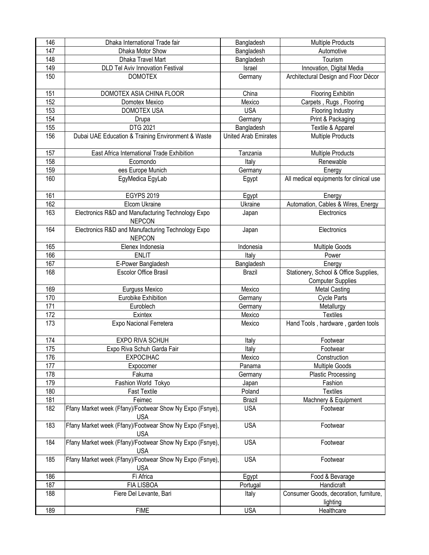| 146              | Dhaka International Trade fair                                         | Bangladesh                  | <b>Multiple Products</b>                |
|------------------|------------------------------------------------------------------------|-----------------------------|-----------------------------------------|
| 147              | Dhaka Motor Show                                                       | Bangladesh                  | Automotive                              |
| 148              | Dhaka Travel Mart                                                      | Bangladesh                  | Tourism                                 |
| 149              | <b>DLD Tel Aviv Innovation Festival</b>                                | Israel                      | Innovation, Digital Media               |
| 150              | <b>DOMOTEX</b>                                                         | Germany                     | Architectural Design and Floor Décor    |
|                  |                                                                        |                             |                                         |
| 151              | DOMOTEX ASIA CHINA FLOOR                                               | China                       | <b>Flooring Exhibitin</b>               |
| 152              | Domotex Mexico                                                         | Mexico                      | Carpets, Rugs, Flooring                 |
| 153              | <b>DOMOTEX USA</b>                                                     | <b>USA</b>                  | Flooring Industry                       |
| 154              | Drupa                                                                  | Germany                     | Print & Packaging                       |
| 155              | DTG 2021                                                               | Bangladesh                  | Textile & Apparel                       |
| 156              | Dubai UAE Education & Training Environment & Waste                     | <b>United Arab Emirates</b> | <b>Multiple Products</b>                |
| 157              | East Africa International Trade Exhibition                             | Tanzania                    | Multiple Products                       |
| 158              | Ecomondo                                                               | Italy                       | Renewable                               |
| 159              | ees Europe Munich                                                      | Germany                     | Energy                                  |
| 160              | EgyMedica EgyLab                                                       | Egypt                       | All medical equipments for clinical use |
|                  |                                                                        |                             |                                         |
| 161              | <b>EGYPS 2019</b>                                                      | Egypt                       | Energy                                  |
| 162              | Elcom Ukraine                                                          | Ukraine                     | Automation, Cables & Wires, Energy      |
| 163              | Electronics R&D and Manufacturing Technology Expo<br><b>NEPCON</b>     | Japan                       | Electronics                             |
| 164              | Electronics R&D and Manufacturing Technology Expo                      | Japan                       | Electronics                             |
|                  | <b>NEPCON</b>                                                          |                             |                                         |
| 165              | Elenex Indonesia                                                       | Indonesia                   | Multiple Goods                          |
| 166              | <b>ENLIT</b>                                                           | Italy                       | Power                                   |
| 167              | E-Power Bangladesh                                                     | Bangladesh                  | Energy                                  |
| 168              | <b>Escolor Office Brasil</b>                                           | Brazil                      | Stationery, School & Office Supplies,   |
|                  |                                                                        |                             | <b>Computer Supplies</b>                |
| 169              | Eurguss Mexico                                                         | Mexico                      | <b>Metal Casting</b>                    |
| 170              | Eurobike Exhibition                                                    | Germany                     | <b>Cycle Parts</b>                      |
| $\overline{171}$ | Euroblech                                                              | Germany                     | Metallurgy                              |
| 172              | Exintex                                                                | Mexico                      | <b>Textiles</b>                         |
| 173              | Expo Nacional Ferretera                                                | Mexico                      | Hand Tools, hardware, garden tools      |
|                  |                                                                        |                             |                                         |
| 174              | EXPO RIVA SCHUH                                                        | Italy                       | Footwear                                |
| 175              | Expo Riva Schuh Garda Fair                                             | Italy                       | Footwear                                |
| 176              | <b>EXPOCIHAC</b>                                                       | Mexico                      | Construction                            |
| 177              | Expocomer                                                              | Panama                      | <b>Multiple Goods</b>                   |
| 178              | Fakuma                                                                 | Germany                     | <b>Plastic Processing</b>               |
| 179              | Fashion World Tokyo                                                    | Japan                       | Fashion                                 |
| 180              | <b>Fast Textile</b>                                                    | Poland                      | <b>Textiles</b>                         |
| 181              | Feimec                                                                 | <b>Brazil</b>               | Machnery & Equipment                    |
| 182              | Ffany Market week (Ffany)/Footwear Show Ny Expo (Fsnye),<br><b>USA</b> | <b>USA</b>                  | Footwear                                |
| 183              | Ffany Market week (Ffany)/Footwear Show Ny Expo (Fsnye),               | <b>USA</b>                  | Footwear                                |
| 184              | <b>USA</b><br>Ffany Market week (Ffany)/Footwear Show Ny Expo (Fsnye), | <b>USA</b>                  | Footwear                                |
|                  | <b>USA</b>                                                             |                             |                                         |
| 185              | Ffany Market week (Ffany)/Footwear Show Ny Expo (Fsnye),<br><b>USA</b> | <b>USA</b>                  | Footwear                                |
| 186              | Fi Africa                                                              | Egypt                       | Food & Bevarage                         |
| 187              | <b>FIA LISBOA</b>                                                      | Portugal                    | Handicraft                              |
| 188              | Fiere Del Levante, Bari                                                | Italy                       | Consumer Goods, decoration, furniture,  |
|                  |                                                                        |                             | lighting                                |
| 189              | <b>FIME</b>                                                            | <b>USA</b>                  | Healthcare                              |
|                  |                                                                        |                             |                                         |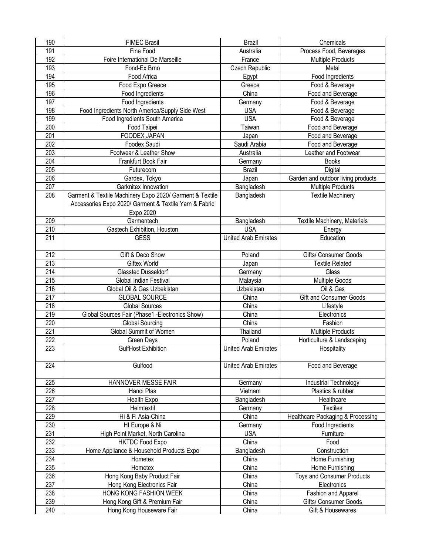| 190        | <b>FIMEC Brasil</b>                                       | <b>Brazil</b>               | Chemicals                                  |
|------------|-----------------------------------------------------------|-----------------------------|--------------------------------------------|
| 191        | Fine Food                                                 | Australia                   | Process Food, Beverages                    |
| 192        | Foire International De Marseille                          | France                      | <b>Multiple Products</b>                   |
| 193        | Fond-Ex Brno                                              | Czech Republic              | Metal                                      |
| 194        | Food Africa                                               | Egypt                       | Food Ingredients                           |
| 195        | Food Expo Greece                                          | Greece                      | Food & Beverage                            |
| 196        | Food Ingredients                                          | China                       | Food and Beverage                          |
| 197        | Food Ingredients                                          | Germany                     | Food & Beverage                            |
| 198        | Food Ingredients North America/Supply Side West           | <b>USA</b>                  | Food & Beverage                            |
| 199        | Food Ingredients South America                            | <b>USA</b>                  | Food & Beverage                            |
| 200        | Food Taipei                                               | Taiwan                      | Food and Beverage                          |
| 201        | FOODEX JAPAN                                              | Japan                       | Food and Beverage                          |
| 202        | Foodex Saudi                                              |                             | Food and Beverage                          |
|            |                                                           | Saudi Arabia                | Leather and Footwear                       |
| 203        | Footwear & Leather Show                                   | Australia                   |                                            |
| 204        | Frankfurt Book Fair                                       | Germany                     | <b>Books</b>                               |
| 205        | Futurecom                                                 | <b>Brazil</b>               | Digital                                    |
| 206        | Gardex, Tokyo                                             | Japan                       | Garden and outdoor living products         |
| 207        | Garknitex Innovation                                      | Bangladesh                  | <b>Multiple Products</b>                   |
| 208        | Garment & Textile Machinery Expo 2020/ Garment & Textile  | Bangladesh                  | <b>Textile Machinery</b>                   |
|            | Accessories Expo 2020/ Garment & Textile Yarn & Fabric    |                             |                                            |
|            | Expo 2020                                                 |                             |                                            |
| 209        | Garmentech                                                | Bangladesh                  | Textile Machinery, Materials               |
| 210        | Gastech Exhibition, Houston                               | <b>USA</b>                  | Energy                                     |
| 211        | <b>GESS</b>                                               | <b>United Arab Emirates</b> | Education                                  |
|            |                                                           |                             |                                            |
| 212        | Gift & Deco Show                                          | Poland                      | Gifts/ Consumer Goods                      |
| 213        | <b>Giftex World</b>                                       | Japan                       | <b>Textile Related</b>                     |
| 214        | Glasstec Dusseldorf                                       | Germany                     | Glass                                      |
|            |                                                           |                             |                                            |
|            |                                                           |                             |                                            |
| 215        | Global Indian Festival<br>Global Oil & Gas Uzbekistan     | Malaysia<br>Uzbekistan      | <b>Multiple Goods</b><br>Oil & Gas         |
| 216        |                                                           |                             |                                            |
| 217        | <b>GLOBAL SOURCE</b>                                      | China                       | Gift and Consumer Goods                    |
| 218        | <b>Global Sources</b>                                     | China                       | Lifestyle                                  |
| 219        | Global Sources Fair (Phase1 -Electronics Show)            | China                       | Electronics                                |
| 220        | <b>Global Sourcing</b>                                    | China                       | Fashion                                    |
| 221        | Global Summit of Women                                    | Thailand                    | <b>Multiple Products</b>                   |
| 222        | Green Days                                                | Poland                      | Horticulture & Landscaping                 |
| 223        | GulfHost Exhibition                                       | <b>United Arab Emirates</b> | Hospitality                                |
|            |                                                           |                             |                                            |
| 224        | Gulfood                                                   | <b>United Arab Emirates</b> | Food and Beverage                          |
|            |                                                           |                             |                                            |
| 225        | HANNOVER MESSE FAIR                                       | Germany                     | Industrial Technology                      |
| 226        | Hanoi Plas                                                | Vietnam                     | Plastics & rubber                          |
| 227        | Health Expo                                               | Bangladesh                  | Healthcare                                 |
| 228        | Heimtextil                                                | Germany                     | <b>Textiles</b>                            |
| 229        | Hi & Fi Asia-China                                        | China                       | Healthcare Packaging & Processing          |
| 230        | HI Europe & Ni                                            | Germany                     | Food Ingredients                           |
| 231        | High Point Market, North Carolina                         | <b>USA</b>                  | Furniture                                  |
| 232        | <b>HKTDC Food Expo</b>                                    | China                       | Food                                       |
| 233        | Home Appliance & Household Products Expo                  | Bangladesh                  | Construction                               |
| 234        | Hometex                                                   | China                       | Home Furnishing                            |
| 235        | Hometex                                                   | China                       | Home Furnishing                            |
| 236        | Hong Kong Baby Product Fair                               | China                       | <b>Toys and Consumer Products</b>          |
| 237        | Hong Kong Electronics Fair                                | China                       | Electronics                                |
| 238        | HONG KONG FASHION WEEK                                    | China                       | Fashion and Apparel                        |
| 239<br>240 | Hong Kong Gift & Premium Fair<br>Hong Kong Houseware Fair | China<br>China              | Gifts/ Consumer Goods<br>Gift & Housewares |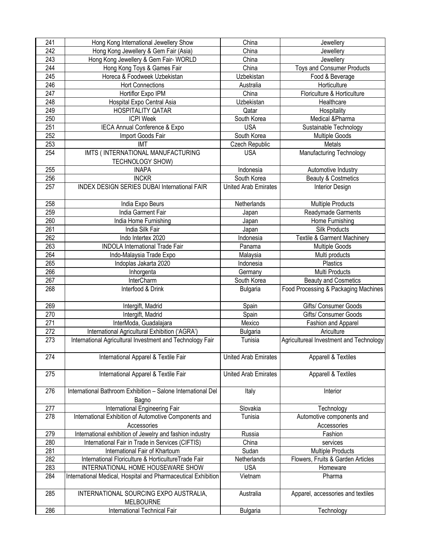| 241 | Hong Kong International Jewellery Show                                | China                       | Jewellery                               |
|-----|-----------------------------------------------------------------------|-----------------------------|-----------------------------------------|
| 242 | Hong Kong Jewellery & Gem Fair (Asia)                                 | China                       | Jewellery                               |
| 243 | Hong Kong Jewellery & Gem Fair- WORLD                                 | China                       | Jewellery                               |
| 244 | Hong Kong Toys & Games Fair                                           | China                       | <b>Toys and Consumer Products</b>       |
| 245 | Horeca & Foodweek Uzbekistan                                          | Uzbekistan                  | Food & Beverage                         |
| 246 | <b>Hort Connections</b>                                               | Australia                   | Horticulture                            |
| 247 | Hortiflor Expo IPM                                                    | China                       | Floriculture & Horticulture             |
| 248 | Hospital Expo Central Asia                                            | Uzbekistan                  | Healthcare                              |
| 249 | <b>HOSPITALITY QATAR</b>                                              | Qatar                       | Hospitality                             |
| 250 | <b>ICPI Week</b>                                                      | South Korea                 | Medical &Pharma                         |
| 251 | IECA Annual Conference & Expo                                         | <b>USA</b>                  | Sustainable Technology                  |
| 252 | Import Goods Fair                                                     | South Korea                 | Multiple Goods                          |
| 253 | <b>IMT</b>                                                            | Czech Republic              | Metals                                  |
| 254 | IMTS (INTERNATIONAL MANUFACTURING                                     | <b>USA</b>                  | Manufacturing Technology                |
|     | TECHNOLOGY SHOW)                                                      |                             |                                         |
| 255 | <b>INAPA</b>                                                          | Indonesia                   | Automotive Industry                     |
| 256 | <b>INCKR</b>                                                          | South Korea                 | Beauty & Costmetics                     |
| 257 | <b>INDEX DESIGN SERIES DUBAI International FAIR</b>                   | <b>United Arab Emirates</b> | Interior Design                         |
|     |                                                                       |                             |                                         |
| 258 | India Expo Beurs                                                      | Netherlands                 | <b>Multiple Products</b>                |
| 259 | India Garment Fair                                                    | Japan                       | Readymade Garments                      |
| 260 | India Home Furnishing                                                 | Japan                       | Home Furnishing                         |
| 261 | India Silk Fair                                                       | Japan                       | Silk Products                           |
| 262 | Indo Intertex 2020                                                    | Indonesia                   | <b>Textile &amp; Garment Machinery</b>  |
| 263 | <b>INDOLA International Trade Fair</b>                                | Panama                      | <b>Multiple Goods</b>                   |
| 264 | Indo-Malaysia Trade Expo                                              | Malaysia                    | Multi products                          |
| 265 | Indoplas Jakarta 2020                                                 | Indonesia                   | Plastics                                |
| 266 | Inhorgenta                                                            | Germany                     | Multi Products                          |
| 267 | InterCharm                                                            | South Korea                 | <b>Beauty and Cosmetics</b>             |
| 268 | Interfood & Drink                                                     | <b>Bulgaria</b>             | Food Processing & Packaging Machines    |
| 269 | Intergift, Madrid                                                     | Spain                       | Gifts/ Consumer Goods                   |
| 270 | Intergift, Madrid                                                     | Spain                       | Gifts/ Consumer Goods                   |
| 271 | InterModa, Guadalajara                                                | Mexico                      | Fashion and Apparel                     |
| 272 | International Agricultural Exhibition ('AGRA')                        | <b>Bulgaria</b>             | Ariculture                              |
| 273 | International Agricultural Investment and Technology Fair             | Tunisia                     | Agricultureal Investment and Technology |
| 274 | International Apparel & Textile Fair                                  | United Arab Emirates        | Apparell & Textiles                     |
| 275 | International Apparel & Textile Fair                                  | United Arab Emirates        | Apparell & Textiles                     |
| 276 | International Bathroom Exhibition - Salone International Del<br>Bagno | Italy                       | Interior                                |
| 277 | International Engineering Fair                                        | Slovakia                    | Technology                              |
| 278 | International Exhibition of Automotive Components and                 | Tunisia                     | Automotive components and               |
|     | Accessories                                                           |                             | Accessories                             |
| 279 | International exhibition of Jewelry and fashion industry              | Russia                      | Fashion                                 |
| 280 | International Fair in Trade in Services (CIFTIS)                      | China                       | services                                |
| 281 | International Fair of Khartoum                                        | Sudan                       | <b>Multiple Products</b>                |
| 282 | International Floriculture & HorticultureTrade Fair                   | Netherlands                 | Flowers, Fruits & Garden Articles       |
| 283 | INTERNATIONAL HOME HOUSEWARE SHOW                                     | <b>USA</b>                  | Homeware                                |
| 284 | International Medical, Hospital and Pharmaceutical Exhibition         | Vietnam                     | Pharma                                  |
| 285 | INTERNATIONAL SOURCING EXPO AUSTRALIA,<br><b>MELBOURNE</b>            | Australia                   | Apparel, accessories and textiles       |
| 286 | International Technical Fair                                          | <b>Bulgaria</b>             | Technology                              |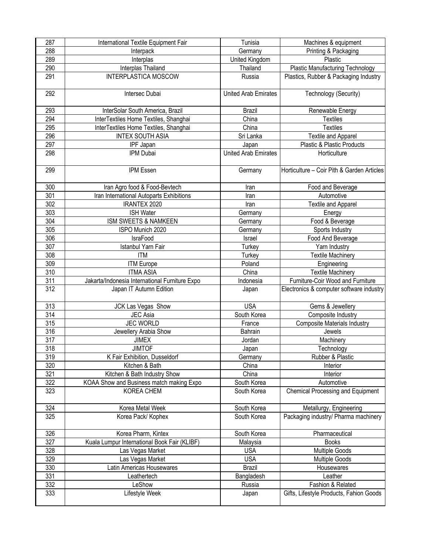| 287 | International Textile Equipment Fair           | Tunisia                     | Machines & equipment                       |
|-----|------------------------------------------------|-----------------------------|--------------------------------------------|
| 288 | Interpack                                      | Germany                     | Printing & Packaging                       |
| 289 | Interplas                                      | United Kingdom              | Plastic                                    |
| 290 | Interplas Thailand                             | Thailand                    | <b>Plastic Manufacturing Technology</b>    |
| 291 | <b>INTERPLASTICA MOSCOW</b>                    | Russia                      | Plastics, Rubber & Packaging Industry      |
|     |                                                |                             |                                            |
| 292 | Intersec Dubai                                 | <b>United Arab Emirates</b> | Technology (Security)                      |
|     |                                                |                             |                                            |
| 293 | InterSolar South America, Brazil               | <b>Brazil</b>               | Renewable Energy                           |
| 294 | InterTextiles Home Textiles, Shanghai          | $\overline{Ch}$ ina         | <b>Textiles</b>                            |
| 295 | InterTextiles Home Textiles, Shanghai          | China                       | <b>Textiles</b>                            |
| 296 | <b>INTEX SOUTH ASIA</b>                        | Sri Lanka                   | <b>Textile and Apparel</b>                 |
| 297 | IPF Japan                                      | Japan                       | Plastic & Plastic Products                 |
| 298 | IPM Dubai                                      | <b>United Arab Emirates</b> | Horticulture                               |
|     |                                                |                             |                                            |
| 299 | IPM Essen                                      | Germany                     | Horticulture - Coir Pith & Garden Articles |
|     |                                                |                             |                                            |
| 300 | Iran Agro food & Food-Bevtech                  | Iran                        | Food and Beverage                          |
| 301 | Iran International Autoparts Exhibitions       | Iran                        | Automotive                                 |
| 302 | <b>IRANTEX 2020</b>                            |                             | <b>Textile and Apparel</b>                 |
|     |                                                | Iran                        |                                            |
| 303 | <b>ISH Water</b>                               | Germany                     | Energy                                     |
| 304 | ISM SWEETS & NAMKEEN                           | Germany                     | Food & Beverage                            |
| 305 | ISPO Munich 2020                               | Germany                     | Sports Industry                            |
| 306 | IsraFood                                       | Israel                      | Food And Beverage                          |
| 307 | Istanbul Yarn Fair                             | Turkey                      | Yarn Industry                              |
| 308 | <b>ITM</b>                                     | Turkey                      | <b>Textile Machinery</b>                   |
| 309 | <b>ITM Europe</b>                              | Poland                      | Engineering                                |
| 310 | <b>ITMA ASIA</b>                               | China                       | <b>Textile Machinery</b>                   |
| 311 | Jakarta/Indonesia International Furniture Expo | Indonesia                   | Furniture-Coir Wood and Furniture          |
| 312 | Japan IT Autumn Edition                        | Japan                       | Electronics & computer software industry   |
|     |                                                |                             |                                            |
| 313 | JCK Las Vegas Show                             | <b>USA</b>                  | Gems & Jewellery                           |
| 314 | JEC Asia                                       | South Korea                 | Composite Industry                         |
| 315 | <b>JEC WORLD</b>                               | France                      | Composite Materials Industry               |
| 316 | Jewellery Arabia Show                          | Bahrain                     | Jewels                                     |
| 317 | <b>JIMEX</b>                                   | Jordan                      | Machinery                                  |
| 318 | <b>JIMTOF</b>                                  | Japan                       | Technology                                 |
| 319 | K Fair Exhibition, Dusseldorf                  | Germany                     | Rubber & Plastic                           |
| 320 | Kitchen & Bath                                 | China                       | Interior                                   |
| 321 | Kitchen & Bath Industry Show                   | China                       | Interior                                   |
| 322 | KOAA Show and Business match making Expo       | South Korea                 | Automotive                                 |
| 323 | KOREA CHEM                                     | South Korea                 | <b>Chemical Processing and Equipment</b>   |
|     |                                                |                             |                                            |
| 324 | Korea Metal Week                               | South Korea                 | Metallurgy, Engineering                    |
| 325 | Korea Pack/ Kophex                             | South Korea                 | Packaging industry/ Pharma machinery       |
|     |                                                |                             |                                            |
| 326 | Korea Pharm, Kintex                            | South Korea                 | Pharmaceutical                             |
| 327 | Kuala Lumpur International Book Fair (KLIBF)   | Malaysia                    | <b>Books</b>                               |
| 328 | Las Vegas Market                               | <b>USA</b>                  | <b>Multiple Goods</b>                      |
| 329 | Las Vegas Market                               | <b>USA</b>                  | <b>Multiple Goods</b>                      |
| 330 | Latin Americas Housewares                      | <b>Brazil</b>               | Housewares                                 |
| 331 | Leathertech                                    | Bangladesh                  | Leather                                    |
| 332 | LeShow                                         | Russia                      | Fashion & Related                          |
| 333 | Lifestyle Week                                 | Japan                       | Gifts, Lifestyle Products, Fahion Goods    |
|     |                                                |                             |                                            |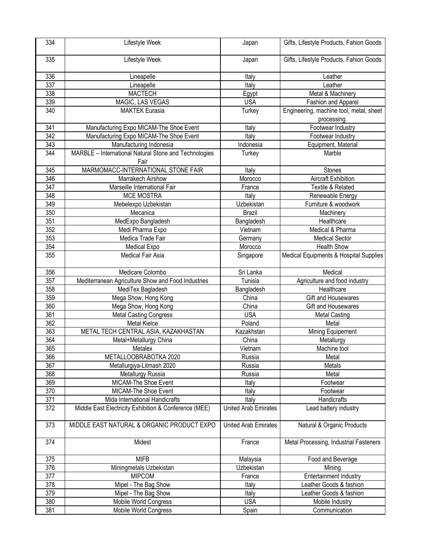| 334 | Lifestyle Week                                        | Japan                       | Gifts, Lifestyle Products, Fahion Goods                |
|-----|-------------------------------------------------------|-----------------------------|--------------------------------------------------------|
| 335 | Lifestyle Week                                        | Japan                       | Gifts, Lifestyle Products, Fahion Goods                |
| 336 | Lineapelle                                            | Italy                       | Leather                                                |
| 337 | Lineapelle                                            | Italy                       | Leather                                                |
| 338 | <b>MACTECH</b>                                        | Egypt                       | Metal & Machinery                                      |
| 339 | MAGIC, LAS VEGAS                                      | <b>USA</b>                  | Fashion and Apparel                                    |
| 340 | <b>MAKTEK Eurasia</b>                                 | Turkey                      | Engineering, machine tool, metal, sheet<br>processing. |
| 341 | Manufacturing Expo MICAM-The Shoe Event               | Italy                       | Footwear Industry                                      |
| 342 | Manufacturing Expo MICAM-The Shoe Event               | Italy                       | Footwear Industry                                      |
| 343 | Manufacturing Indonesia                               | Indonesia                   | Equipment, Material                                    |
| 344 | MARBLE - International Natural Stone and Technologies | Turkey                      | Marble                                                 |
|     | Fair                                                  |                             |                                                        |
| 345 | MARMOMACC-INTERNATIONAL STONE FAIR                    | Italy                       | <b>Stones</b>                                          |
| 346 | Marrakech Airshow                                     | Morocco                     | <b>Aircraft Exhibition</b>                             |
| 347 | Marseille International Fair                          | France                      | Textile & Related                                      |
| 348 | <b>MCE MOSTRA</b>                                     | Italy                       | Renewable Energy                                       |
| 349 | Mebelexpo Uzbekistan                                  | Uzbekistan                  | Furniture & woodwork                                   |
| 350 | Mecanica                                              | <b>Brazil</b>               | Machinery                                              |
| 351 | MedExpo Bangladesh                                    | Bangladesh                  | Healthcare                                             |
| 352 | Medi Pharma Expo                                      | Vietnam                     | Medical & Pharma                                       |
| 353 | Medica Trade Fair                                     | Germany                     | <b>Medical Sector</b>                                  |
| 354 | Medical Expo                                          | Morocco                     | <b>Health Show</b>                                     |
| 355 | Medical Fair Asia                                     | Singapore                   | Medical Equipments & Hospital Supplies                 |
| 356 | Medicare Colombo                                      | Sri Lanka                   | Medical                                                |
| 357 | Mediterranean Agriculture Show and Food Industries    | Tunisia                     | Agriculture and food industry                          |
| 358 | MediTex Bagladesh                                     | Bangladesh                  | Healthcare                                             |
| 359 | Mega Show, Hong Kong                                  | China                       | Gift and Housewares                                    |
| 360 | Mega Show, Hong Kong                                  | China                       | Gift and Housewares                                    |
| 361 | <b>Metal Casting Congress</b>                         | <b>USA</b>                  | <b>Metal Casting</b>                                   |
| 362 | Metal Kielce                                          | Poland                      | Metal                                                  |
| 363 | METAL TECH CENTRAL ASIA, KAZAKHASTAN                  | Kazakhstan                  | Mining Equipement                                      |
| 364 | Metal+Metallurgy China                                | China                       | Metallurgy                                             |
| 365 | Metalex                                               | Vietnam                     | Machine tool                                           |
| 366 | METALLOOBRABOTKA 2020                                 | Russia                      | Metal                                                  |
| 367 | Metallurgiya-Litmash 2020                             | Russia                      | Metals                                                 |
| 368 | Metallurgy Russia                                     | Russia                      | Metal                                                  |
| 369 | MICAM-The Shoe Event                                  | Italy                       | Footwear                                               |
| 370 | MICAM-The Shoe Event                                  | Italy                       | Footwear                                               |
| 371 | Mida International Handicrafts                        | Italy                       | Handicrafts                                            |
| 372 | Middle East Electricity Exhibition & Conference (MEE) | <b>United Arab Emirates</b> | Lead battery industry                                  |
| 373 | MIDDLE EAST NATURAL & ORGANIC PRODUCT EXPO            | <b>United Arab Emirates</b> | Natural & Organic Products                             |
| 374 | Midest                                                | France                      | Metal Processing, Industrial Fasteners                 |
| 375 | <b>MIFB</b>                                           | Malaysia                    | Food and Beverage                                      |
| 376 | Miningmetals Uzbekistan                               | Uzbekistan                  | Mining                                                 |
| 377 | <b>MIPCOM</b>                                         | France                      | <b>Entertainment Industry</b>                          |
| 378 | Mipel - The Bag Show                                  | Italy                       | Leather Goods & fashion                                |
| 379 | Mipel - The Bag Show                                  | Italy                       | Leather Goods & fashion                                |
| 380 | Mobile World Congress                                 | <b>USA</b>                  | Mobile Industry                                        |
| 381 | Mobile World Congress                                 | Spain                       | Communication                                          |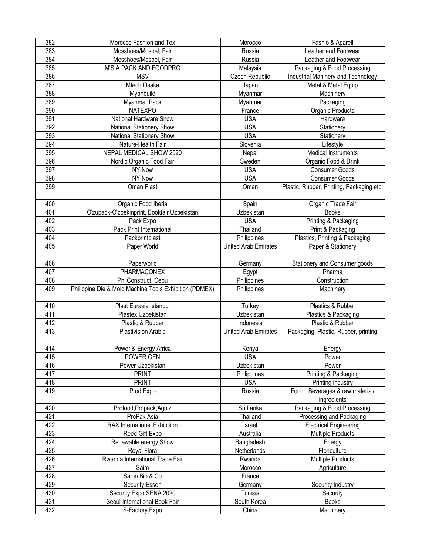| 382 | Morocco Fashion and Tex                                | Morocco                     | Fashio & Aparell                          |
|-----|--------------------------------------------------------|-----------------------------|-------------------------------------------|
| 383 | Mosshoes/Mospel, Fair                                  | Russia                      | Leather and Footwear                      |
| 384 | Mosshoes/Mospel, Fair                                  | Russia                      | Leather and Footwear                      |
| 385 | M'SIA PACK AND FOODPRO                                 | Malaysia                    | Packaging & Food Processing               |
| 386 | <b>MSV</b>                                             | Czech Republic              | Industrial Mahinery and Technology        |
| 387 | Mtech Osaka                                            | Japan                       | Metal & Metal Equip                       |
| 388 | Myanbuild                                              | Myanmar                     | Machinery                                 |
| 389 | Myanmar Pack                                           | Myanmar                     | Packaging                                 |
| 390 | <b>NATEXPO</b>                                         | France                      | Organic Products                          |
| 391 | National Hardware Show                                 | <b>USA</b>                  | Hardware                                  |
| 392 | National Stationery Show                               | <b>USA</b>                  | Stationery                                |
| 393 | National Stationery Show                               | <b>USA</b>                  | Stationery                                |
| 394 | Nature-Health Fair                                     | Slovenia                    | Lifestyle                                 |
| 395 | NEPAL MEDICAL SHOW 2020                                |                             | <b>Medical Instruments</b>                |
|     |                                                        | Nepal                       |                                           |
| 396 | Nordic Organic Food Fair                               | Sweden                      | Organic Food & Drink                      |
| 397 | NY Now                                                 | <b>USA</b>                  | <b>Consumer Goods</b>                     |
| 398 | NY Now                                                 | <b>USA</b>                  | <b>Consumer Goods</b>                     |
| 399 | Oman Plast                                             | Oman                        | Plastic, Rubber, Printing, Packaging etc. |
| 400 | Organic Food Iberia                                    | Spain                       | Organic Trade Fair                        |
| 401 | O'zupack-O'zbekinprint, Bookfair Uzbekistan            | Uzbekistan                  | <b>Books</b>                              |
| 402 | Pack Expo                                              | <b>USA</b>                  | Printing & Packaging                      |
| 403 | Pack Print International                               | Thailand                    | Print & Packaging                         |
| 404 | Packprintplast                                         | Philippines                 | Plastics, Printing & Packaging            |
| 405 | Paper World                                            | <b>United Arab Emirates</b> | Paper & Stationery                        |
|     |                                                        |                             |                                           |
| 406 | Paperworld                                             | Germany                     | Stationery and Consumer goods             |
| 407 | PHARMACONEX                                            | Egypt                       | Pharma                                    |
| 408 | PhilConstruct, Cebu                                    | Philippines                 | Construction                              |
| 409 | Philippine Die & Mold Machine Tools Exhibition (PDMEX) | Philippines                 | Machinery                                 |
| 410 | Plast Eurasia Istanbul                                 | Turkey                      | Plastics & Rubber                         |
| 411 | Plastex Uzbekistan                                     | Uzbekistan                  | Plastics & Packaging                      |
| 412 | Plastic & Rubber                                       | Indonesia                   | Plastic & Rubber                          |
| 413 | Plastivision Arabia                                    | <b>United Arab Emirates</b> | Packaging, Plastic, Rubber, printing      |
|     |                                                        |                             |                                           |
| 414 | Power & Energy Africa                                  | Kenya                       | Energy                                    |
| 415 | POWER GEN                                              | <b>USA</b>                  | Power                                     |
| 416 | Power Uzbekistan                                       | Uzbekistan                  | Power                                     |
| 417 | <b>PRINT</b>                                           | Philippines                 | Printing & Packaging                      |
| 418 | <b>PRINT</b>                                           | <b>USA</b>                  | Printing industry                         |
| 419 | Prod Expo                                              | Russia                      | Food, Beverages & raw material/           |
| 420 |                                                        |                             | ingredients                               |
|     | Profood, Propack, Agbiz                                | Sri Lanka                   | Packaging & Food Processing               |
| 421 | ProPak Asia                                            | Thailand                    | Processing and Packaging                  |
| 422 | RAX International Exhibition                           | Israel                      | <b>Electrical Engineering</b>             |
| 423 | Reed Gift Expo                                         | Australia                   | <b>Multiple Products</b>                  |
| 424 | Renewable energy Show                                  | Bangladesh                  | Energy                                    |
| 425 | Royal Flora                                            | Netherlands                 | Floriculture                              |
| 426 | Rwanda International Trade Fair                        | Rwanda                      | <b>Multiple Products</b>                  |
| 427 | Saim                                                   | Morocco                     | Agriculture                               |
| 428 | Salon Bio & Co                                         | France                      |                                           |
| 429 | Security Essen                                         | Germany                     | Security Industry                         |
| 430 | Security Expo SENA 2020                                | Tunisia                     | Security                                  |
| 431 |                                                        |                             |                                           |
|     | Seoul International Book Fair                          | South Korea                 | <b>Books</b>                              |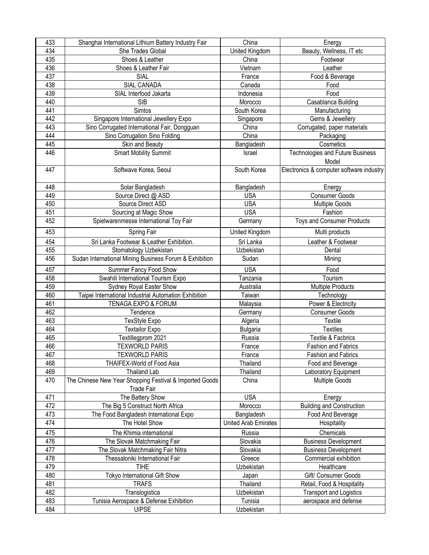| 433 | Shanghai International Lithium Battery Industry Fair         | China                       | Energy                                            |
|-----|--------------------------------------------------------------|-----------------------------|---------------------------------------------------|
| 434 | She Trades Global                                            | United Kingdom              | Beauty, Wellness, IT etc                          |
| 435 | Shoes & Leather                                              | China                       | Footwear                                          |
| 436 | Shoes & Leather Fair                                         | Vietnam                     | Leather                                           |
| 437 | SIAL                                                         | France                      | Food & Beverage                                   |
| 438 | <b>SIAL CANADA</b>                                           | Canada                      | Food                                              |
| 439 | SIAL Interfood Jakarta                                       | Indonesia                   | Food                                              |
| 440 | <b>SIB</b>                                                   | Morocco                     | Casablanca Building                               |
| 441 | Simtos                                                       | South Korea                 | Manufacturing                                     |
| 442 | Singapore International Jewellery Expo                       | Singapore                   | Gems & Jewellery                                  |
| 443 | Sino Corrugated International Fair, Dongguan                 | China                       | Corrugated, paper materials                       |
| 444 | Sino Corrugation Sino Folding                                | China                       | Packaging                                         |
| 445 | Skin and Beauty                                              | Bangladesh                  | Cosmetics                                         |
| 446 | <b>Smart Mobility Summit</b>                                 | Israel                      | Technologies and Future Business                  |
| 447 | Softwave Korea, Seoul                                        | South Korea                 | Model<br>Electronics & computer software industry |
| 448 | Solar Bangladesh                                             | Bangladesh                  | Energy                                            |
| 449 | Source Direct @ ASD                                          | <b>USA</b>                  | <b>Consumer Goods</b>                             |
| 450 | Source Direct ASD                                            | <b>USA</b>                  | <b>Multiple Goods</b>                             |
| 451 | Sourcing at Magic Show                                       | <b>USA</b>                  | Fashion                                           |
| 452 | Spielwarenmesse International Toy Fair                       | Germany                     | Toys and Consumer Products                        |
| 453 | Spring Fair                                                  | United Kingdom              | Multi products                                    |
| 454 | Sri Lanka Footwear & Leather Exhibition.                     | Sri Lanka                   | Leather & Footwear                                |
| 455 | Stomatology Uzbekistan                                       | Uzbekistan                  | Dental                                            |
| 456 | Sudan International Mining Business Forum & Exhibition       | Sudan                       | Mining                                            |
| 457 |                                                              | <b>USA</b>                  | Food                                              |
| 458 | Summer Fancy Food Show<br>Swahili International Tourism Expo | Tanzania                    | Tourism                                           |
| 459 | Sydney Royal Easter Show                                     | Australia                   | Multiple Products                                 |
| 460 | Taipei International Industrial Automation Exhibition        | Taiwan                      | Technology                                        |
| 461 | TENAGA EXPO & FORUM                                          | Malaysia                    | Power & Electricity                               |
| 462 | Tendence                                                     | Germany                     | <b>Consumer Goods</b>                             |
| 463 | TexStyle Expo                                                | Algeria                     | Textile                                           |
| 464 | <b>Textailor Expo</b>                                        | <b>Bulgaria</b>             | <b>Textiles</b>                                   |
| 465 | Textillegprom 2021                                           | Russia                      | <b>Textile &amp; Facbrics</b>                     |
| 466 | <b>TEXWORLD PARIS</b>                                        | France                      | Fashion and Fabrics                               |
| 467 | <b>TEXWORLD PARIS</b>                                        | France                      | Fashion and Fabrics                               |
| 468 | THAIFEX-World of Food Asia                                   | Thailand                    | Food and Beverage                                 |
| 469 | <b>Thailand Lab</b>                                          | Thailand                    | Laboratory Equipment                              |
| 470 | The Chinese New Year Shopping Festival & Imported Goods      | China                       | <b>Multiple Goods</b>                             |
|     | <b>Trade Fair</b>                                            |                             |                                                   |
| 471 | The Battery Show                                             | <b>USA</b>                  | Energy                                            |
| 472 | The Big 5 Construct North Africa                             | Morocco                     | <b>Building and Construction</b>                  |
| 473 | The Food Bangladesh International Expo                       | Bangladesh                  | Food And Beverage                                 |
| 474 | The Hotel Show                                               | <b>United Arab Emirates</b> | Hospitality                                       |
| 475 | The Khimia international                                     | Russia                      | Chemicals                                         |
| 476 | The Slovak Matchmaking Fair                                  | Slovakia                    | <b>Business Development</b>                       |
| 477 | The Slovak Matchmaking Fair Nitra                            | Slovakia                    | <b>Business Development</b>                       |
| 478 | Thessaloniki International Fair                              | Greece                      | Commercial exhibition                             |
| 479 | <b>TIHE</b>                                                  | Uzbekistan                  | Healthcare                                        |
| 480 | Tokyo International Gift Show                                | Japan                       | Gift/ Consumer Goods                              |
| 481 | <b>TRAFS</b>                                                 | Thailand                    | Retail, Food & Hospitality                        |
| 482 | Translogistica                                               | Uzbekistan                  | <b>Transport and Logistics</b>                    |
| 483 | Tunisia Aerospace & Defense Exhibition                       | Tunisia                     | aerospace and defense                             |
| 484 | <b>UIPSE</b>                                                 | Uzbekistan                  |                                                   |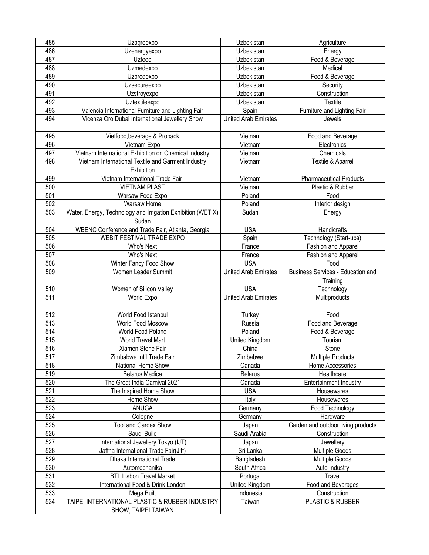| 485              | Uzagroexpo                                                  | Uzbekistan                  | Agriculture                              |
|------------------|-------------------------------------------------------------|-----------------------------|------------------------------------------|
| 486              | Uzenergyexpo                                                | Uzbekistan                  | Energy                                   |
| 487              | Uzfood                                                      | Uzbekistan                  | Food & Beverage                          |
| 488              | Uzmedexpo                                                   | Uzbekistan                  | Medical                                  |
| 489              | Uzprodexpo                                                  | Uzbekistan                  | Food & Beverage                          |
| 490              | Uzsecureexpo                                                | Uzbekistan                  | Security                                 |
| 491              | Uzstroyexpo                                                 | Uzbekistan                  | Construction                             |
| 492              | Uztextileexpo                                               | Uzbekistan                  | Textile                                  |
| 493              | Valencia International Furniture and Lighting Fair          | Spain                       | Furniture and Lighting Fair              |
| 494              | Vicenza Oro Dubai International Jewellery Show              | <b>United Arab Emirates</b> | Jewels                                   |
|                  |                                                             |                             |                                          |
| 495              | Vietfood, beverage & Propack                                | Vietnam                     | Food and Beverage                        |
| 496              | Vietnam Expo                                                | Vietnam                     | Electronics                              |
| 497              | Vietnam International Exhibition on Chemical Industry       | Vietnam                     | Chemicals                                |
| 498              | Vietnam International Textile and Garment Industry          | Vietnam                     | Textile & Aparrel                        |
|                  | Exhibition                                                  |                             |                                          |
| 499              | Vietnam International Trade Fair                            | Vietnam                     | <b>Pharmaceutical Products</b>           |
| 500              |                                                             | Vietnam                     |                                          |
| 501              | <b>VIETNAM PLAST</b>                                        | Poland                      | Plastic & Rubber                         |
|                  | Warsaw Food Expo                                            |                             | Food                                     |
| 502              | Warsaw Home                                                 | Poland                      | Interior design                          |
| 503              | Water, Energy, Technology and Irrigation Exhibition (WETIX) | Sudan                       | Energy                                   |
|                  | Sudan                                                       |                             |                                          |
| 504              | WBENC Conference and Trade Fair, Atlanta, Georgia           | <b>USA</b>                  | Handicrafts                              |
| 505              | WEBIT.FESTIVAL TRADE EXPO                                   | Spain                       | Technology (Start-ups)                   |
| 506              | Who's Next                                                  | France                      | Fashion and Apparel                      |
| 507              | Who's Next                                                  | France                      | Fashion and Apparel                      |
| 508              | Winter Fancy Food Show                                      | <b>USA</b>                  | Food                                     |
| 509              | Women Leader Summit                                         | <b>United Arab Emirates</b> | <b>Business Services - Education and</b> |
|                  |                                                             |                             | Training                                 |
| 510              | Women of Silicon Valley                                     | <b>USA</b>                  | Technology                               |
| $\overline{511}$ | World Expo                                                  | <b>United Arab Emirates</b> | Multiproducts                            |
|                  |                                                             |                             |                                          |
| 512              | World Food Istanbul                                         | Turkey                      | Food                                     |
| $\overline{513}$ | World Food Moscow                                           | Russia                      | Food and Beverage                        |
| $\overline{514}$ | World Food Poland                                           | Poland                      | Food & Beverage                          |
| 515              | World Travel Mart                                           | United Kingdom              | Tourism                                  |
| 516              | Xiamen Stone Fair                                           | China                       | Stone                                    |
| 517              | Zimbabwe Int'l Trade Fair                                   | Zimbabwe                    | <b>Multiple Products</b>                 |
| 518              | National Home Show                                          | Canada                      | Home Accessories                         |
| 519              | <b>Belarus Medica</b>                                       | <b>Belarus</b>              | Healthcare                               |
| 520              | The Great India Carnival 2021                               | Canada                      | <b>Entertainment Industry</b>            |
| 521              | The Inspired Home Show                                      | <b>USA</b>                  | Housewares                               |
| 522              | Home Show                                                   | Italy                       | Housewares                               |
| 523              | ANUGA                                                       | Germany                     | Food Technology                          |
| 524              | Cologne                                                     | Germany                     | Hardware                                 |
| 525              | Tool and Gardex Show                                        | Japan                       | Garden and outdoor living products       |
| 526              | Saudi Build                                                 | Saudi Arabia                | Construction                             |
| 527              | International Jewellery Tokyo (IJT)                         | Japan                       | Jewellery                                |
| 528              | Jaffna International Trade Fair(Jitf)                       | Sri Lanka                   | <b>Multiple Goods</b>                    |
| 529              | Dhaka International Trade                                   | Bangladesh                  | <b>Multiple Goods</b>                    |
| 530              | Automechanika                                               | South Africa                | Auto Industry                            |
| 531              | <b>BTL Lisbon Travel Market</b>                             | Portugal                    | Travel                                   |
| 532              | International Food & Drink London                           | United Kingdom              | Food and Bevarages                       |
| 533              | Mega Built                                                  | Indonesia                   | Construction                             |
| 534              | TAIPEI INTERNATIONAL PLASTIC & RUBBER INDUSTRY              | Taiwan                      | PLASTIC & RUBBER                         |
|                  | SHOW, TAIPEI TAIWAN                                         |                             |                                          |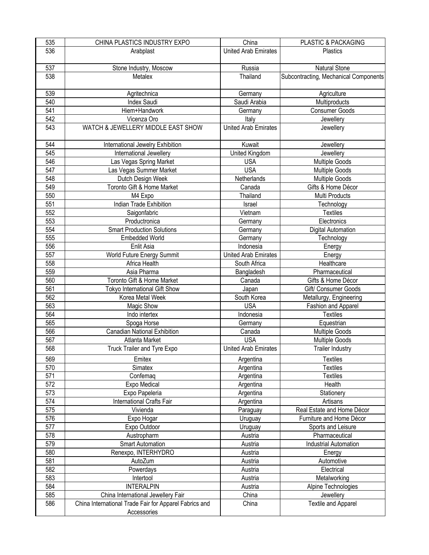| 535 | CHINA PLASTICS INDUSTRY EXPO                           | China                       | PLASTIC & PACKAGING                   |
|-----|--------------------------------------------------------|-----------------------------|---------------------------------------|
| 536 | Arabplast                                              | <b>United Arab Emirates</b> | <b>Plastics</b>                       |
|     |                                                        |                             |                                       |
| 537 | Stone Industry, Moscow                                 | Russia                      | Natural Stone                         |
| 538 | Metalex                                                | Thailand                    | Subcontracting, Mechanical Components |
| 539 | Agritechnica                                           | Germany                     | Agriculture                           |
| 540 | <b>Index Saudi</b>                                     | Saudi Arabia                | Multiproducts                         |
| 541 | Hiem+Handwork                                          | Germany                     | <b>Consumer Goods</b>                 |
| 542 | Vicenza Oro                                            | Italy                       | Jewellery                             |
| 543 | WATCH & JEWELLERY MIDDLE EAST SHOW                     | <b>United Arab Emirates</b> | Jewellery                             |
|     |                                                        |                             |                                       |
| 544 | International Jewelry Exhibition                       | Kuwait                      | Jewellery                             |
| 545 | International Jewellery                                | United Kingdom              | Jewellery                             |
| 546 | Las Vegas Spring Market                                | <b>USA</b>                  | <b>Multiple Goods</b>                 |
| 547 | Las Vegas Summer Market                                | <b>USA</b>                  | <b>Multiple Goods</b>                 |
| 548 | Dutch Design Week                                      | Netherlands                 | Multiple Goods                        |
| 549 | Toronto Gift & Home Market                             | Canada                      | Gifts & Home Décor                    |
| 550 | M4 Expo                                                | Thailand                    | Multi Products                        |
| 551 | Indian Trade Exhibition                                | Israel                      | Technology                            |
| 552 | Saigonfabric                                           | Vietnam                     | <b>Textiles</b>                       |
| 553 | Productronica                                          | Germany                     | Electronics                           |
| 554 | <b>Smart Production Solutions</b>                      | Germany                     | Digital Automation                    |
| 555 | <b>Embedded World</b>                                  | Germany                     | Technology                            |
| 556 | Enlit Asia                                             | Indonesia                   | Energy                                |
| 557 | World Future Energy Summit                             | <b>United Arab Emirates</b> | Energy                                |
| 558 | Africa Health                                          | South Africa                | Healthcare                            |
| 559 | Asia Pharma                                            | Bangladesh                  | Pharmaceutical                        |
| 560 | Toronto Gift & Home Market                             | Canada                      | Gifts & Home Décor                    |
| 561 | Tokyo International Gift Show                          | Japan                       | Gift/ Consumer Goods                  |
| 562 | Korea Metal Week                                       | South Korea                 | Metallurgy, Engineering               |
| 563 | Magic Show                                             | <b>USA</b>                  | Fashion and Apparel                   |
| 564 | Indo intertex                                          | Indonesia                   | <b>Textiles</b>                       |
| 565 | Spoga Horse                                            | Germany                     | Equestrian                            |
| 566 | Canadian National Exhibition                           | Canada                      | <b>Multiple Goods</b>                 |
| 567 | Atlanta Market                                         | <b>USA</b>                  | Multiple Goods                        |
| 568 | Truck Trailer and Tyre Expo                            | <b>United Arab Emirates</b> | <b>Trailer Industry</b>               |
| 569 | Emitex                                                 | Argentina                   | <b>Textiles</b>                       |
| 570 | Simatex                                                | Argentina                   | <b>Textiles</b>                       |
| 571 | Confemaq                                               | Argentina                   | <b>Textiles</b>                       |
| 572 | Expo Medical                                           | Argentina                   | Health                                |
| 573 | Expo Papeleria                                         | Argentina                   | Stationery                            |
| 574 | International Crafts Fair                              | Argentina                   | Artisans                              |
| 575 | Vivienda                                               | Paraguay                    | Real Estate and Home Décor            |
| 576 | Expo Hogar                                             | Uruguay                     | Furniture and Home Décor              |
| 577 | Expo Outdoor                                           | Uruguay                     | Sports and Leisure                    |
| 578 | Austropharm                                            | Austria                     | Pharmaceutical                        |
| 579 | <b>Smart Automation</b>                                | Austria                     | <b>Industrial Automation</b>          |
| 580 | Renexpo, INTERHYDRO                                    | Austria                     | Energy                                |
| 581 | AutoZum                                                | Austria                     | Automotive                            |
| 582 | Powerdays                                              | Austria                     | Electrical                            |
| 583 | Intertool                                              | Austria                     | Metalworking                          |
| 584 | <b>INTERALPIN</b>                                      | Austria                     | Alpine Technologies                   |
| 585 | China International Jewellery Fair                     | China                       | Jewellery                             |
| 586 | China International Trade Fair for Apparel Fabrics and | China                       | <b>Textile and Apparel</b>            |
|     | Accessories                                            |                             |                                       |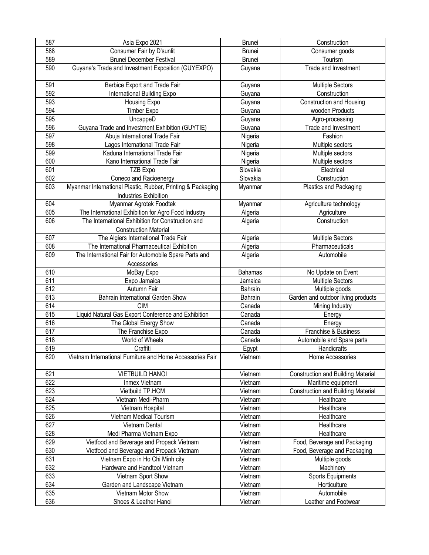| 587 | Asia Expo 2021                                                                              | <b>Brunei</b> | Construction                              |
|-----|---------------------------------------------------------------------------------------------|---------------|-------------------------------------------|
| 588 | Consumer Fair by D'sunlit                                                                   | <b>Brunei</b> | Consumer goods                            |
| 589 | <b>Brunei December Festival</b>                                                             | Brunei        | Tourism                                   |
| 590 | Guyana's Trade and Investment Exposition (GUYEXPO)                                          | Guyana        | Trade and Investment                      |
| 591 | Berbice Export and Trade Fair                                                               | Guyana        | <b>Multiple Sectors</b>                   |
| 592 | <b>International Building Expo</b>                                                          | Guyana        | Construction                              |
| 593 | Housing Expo                                                                                | Guyana        | <b>Construction and Housing</b>           |
| 594 | <b>Timber Expo</b>                                                                          | Guyana        | wooden Products                           |
| 595 | UncappeD                                                                                    | Guyana        | Agro-processing                           |
| 596 | Guyana Trade and Investment Exhibition (GUYTIE)                                             | Guyana        | Trade and Investment                      |
| 597 | Abuja International Trade Fair                                                              | Nigeria       | Fashion                                   |
| 598 | Lagos International Trade Fair                                                              | Nigeria       | Multiple sectors                          |
| 599 | Kaduna International Trade Fair                                                             | Nigeria       | Multiple sectors                          |
| 600 | Kano International Trade Fair                                                               | Nigeria       | Multiple sectors                          |
| 601 | TZB Expo                                                                                    | Slovakia      | Electrical                                |
| 602 | Coneco and Racioenergy                                                                      | Slovakia      | Construction                              |
| 603 | Myanmar International Plastic, Rubber, Printing & Packaging<br><b>Industries Exhibition</b> | Myanmar       | Plastics and Packaging                    |
| 604 | Myanmar Agrotek Foodtek                                                                     | Myanmar       | Agriculture technology                    |
| 605 | The International Exhibition for Agro Food Industry                                         | Algeria       | Agriculture                               |
| 606 | The International Exhibition for Construction and                                           | Algeria       | Construction                              |
|     | <b>Construction Material</b>                                                                |               |                                           |
| 607 | The Algiers International Trade Fair                                                        | Algeria       | <b>Multiple Sectors</b>                   |
| 608 | The International Pharmaceutical Exhibition                                                 | Algeria       | Pharmaceuticals                           |
| 609 | The International Fair for Automobile Spare Parts and                                       | Algeria       | Automobile                                |
|     | Accessories                                                                                 |               |                                           |
| 610 | MoBay Expo                                                                                  | Bahamas       | No Update on Event                        |
| 611 | Expo Jamaica                                                                                | Jamaica       | <b>Multiple Sectors</b>                   |
| 612 | Autumn Fair                                                                                 | Bahrain       | Multiple goods                            |
| 613 | Bahrain International Garden Show                                                           | Bahrain       | Garden and outdoor living products        |
| 614 | <b>CIM</b>                                                                                  | Canada        | Mining Industry                           |
| 615 | Liquid Natural Gas Export Conference and Exhibition                                         | Canada        | Energy                                    |
| 616 | The Global Energy Show                                                                      | Canada        | Energy                                    |
| 617 | The Franchise Expo                                                                          | Canada        | Franchise & Business                      |
| 618 | World of Wheels                                                                             | Canada        | Automobile and Spare parts                |
| 619 | Craffiti                                                                                    | Egypt         | Handicrafts                               |
| 620 | Vietnam International Furniture and Home Accessories Fair                                   | Vietnam       | Home Accessories                          |
| 621 | <b>VIETBUILD HANOI</b>                                                                      | Vietnam       | <b>Construction and Building Material</b> |
| 622 | Inmex Vietnam                                                                               | Vietnam       | Maritime equipment                        |
| 623 | Vietbuild TP.HCM                                                                            | Vietnam       | <b>Construction and Building Material</b> |
| 624 | Vietnam Medi-Pharm                                                                          | Vietnam       | Healthcare                                |
| 625 | Vietnam Hospital                                                                            | Vietnam       | Healthcare                                |
| 626 | Vietnam Medical Tourism                                                                     | Vietnam       | Healthcare                                |
| 627 | Vietnam Dental                                                                              | Vietnam       | Healthcare                                |
| 628 | Medi Pharma Vietnam Expo                                                                    | Vietnam       | Healthcare                                |
| 629 | Vietfood and Beverage and Propack Vietnam                                                   | Vietnam       | Food, Beverage and Packaging              |
| 630 | Vietfood and Beverage and Propack Vietnam                                                   | Vietnam       | Food, Beverage and Packaging              |
| 631 | Vietnam Expo in Ho Chi Minh city                                                            | Vietnam       | Multiple goods                            |
| 632 | Hardware and Handtool Vietnam                                                               | Vietnam       | Machinery                                 |
| 633 | Vietnam Sport Show                                                                          | Vietnam       | <b>Sports Equipments</b>                  |
| 634 | Garden and Landscape Vietnam                                                                | Vietnam       | Horticulture                              |
| 635 | Vietnam Motor Show                                                                          | Vietnam       | Automobile                                |
| 636 | Shoes & Leather Hanoi                                                                       | Vietnam       | Leather and Footwear                      |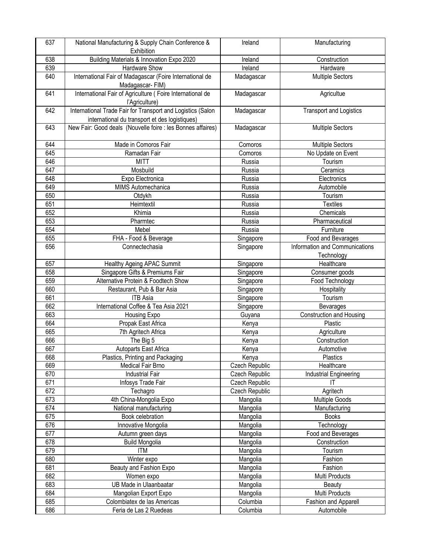| 637 | National Manufacturing & Supply Chain Conference &                          | Ireland        | Manufacturing                  |
|-----|-----------------------------------------------------------------------------|----------------|--------------------------------|
|     | Exhibition                                                                  |                |                                |
| 638 | Building Materials & Innovation Expo 2020                                   | Ireland        | Construction                   |
| 639 | Hardware Show                                                               | Ireland        | Hardware                       |
| 640 | International Fair of Madagascar (Foire International de<br>Madagascar-FIM) | Madagascar     | <b>Multiple Sectors</b>        |
| 641 | International Fair of Agriculture (Foire International de<br>l'Agriculture) | Madagascar     | Agricultue                     |
| 642 | International Trade Fair for Transport and Logistics (Salon                 | Madagascar     | <b>Transport and Logistics</b> |
|     | international du transport et des logistiques)                              |                |                                |
| 643 | New Fair: Good deals (Nouvelle foire : les Bonnes affaires)                 | Madagascar     | <b>Multiple Sectors</b>        |
| 644 | Made in Comoros Fair                                                        | Comoros        | <b>Multiple Sectors</b>        |
| 645 | Ramadan Fair                                                                | Comoros        | No Update on Event             |
| 646 | <b>MITT</b>                                                                 | Russia         | Tourism                        |
| 647 | Mosbuild                                                                    | Russia         | Ceramics                       |
| 648 | Expo Electronica                                                            | Russia         | Electronics                    |
| 649 | MIMS Automechanica                                                          | Russia         | Automobile                     |
| 650 | Otdykh                                                                      | Russia         | Tourism                        |
| 651 | Heimtextil                                                                  | Russia         | <b>Textiles</b>                |
| 652 | Khimia                                                                      | Russia         | Chemicals                      |
| 653 | Pharmtec                                                                    | Russia         | Pharmaceutical                 |
| 654 | Mebel                                                                       | Russia         | Furniture                      |
| 655 | FHA - Food & Beverage                                                       | Singapore      | Food and Bevarages             |
| 656 | Connectechasia                                                              | Singapore      | Information and Communications |
|     |                                                                             |                | Technology                     |
| 657 | <b>Healthy Ageing APAC Summit</b>                                           | Singapore      | Healthcare                     |
| 658 | Singapore Gifts & Premiums Fair                                             | Singapore      | Consumer goods                 |
| 659 | Alternative Protein & Foodtech Show                                         | Singapore      | Food Technology                |
| 660 | Restaurant, Pub & Bar Asia                                                  | Singapore      | Hospitality                    |
| 661 | <b>ITB Asia</b>                                                             | Singapore      | Tourism                        |
| 662 | International Coffee & Tea Asia 2021                                        | Singapore      | Bevarages                      |
| 663 | Housing Expo                                                                | Guyana         | Construction and Housing       |
| 664 | Propak East Africa                                                          | Kenya          | Plastic                        |
| 665 | 7th Agritech Africa                                                         | Kenya          | Agriculture                    |
| 666 | The Big 5                                                                   | Kenya          | Construction                   |
| 667 | Autoparts East Africa                                                       | Kenya          | Automotive                     |
| 668 | Plastics, Printing and Packaging                                            | Kenya          | Plastics                       |
| 669 | Medical Fair Brno                                                           | Czech Republic | Healthcare                     |
| 670 | <b>Industrial Fair</b>                                                      | Czech Republic | Industrial Engineering         |
| 671 | Infosys Trade Fair                                                          | Czech Republic | IT                             |
| 672 | Techagro                                                                    | Czech Republic | Agritech                       |
| 673 | 4th China-Mongolia Expo                                                     | Mangolia       | <b>Multiple Goods</b>          |
| 674 | National manufacturing                                                      | Mangolia       | Manufacturing                  |
| 675 | Book celebration                                                            | Mangolia       | <b>Books</b>                   |
| 676 | Innovative Mongolia                                                         | Mangolia       | Technology                     |
| 677 | Autumn green days                                                           | Mangolia       | Food and Beverages             |
| 678 | <b>Build Mongolia</b>                                                       | Mangolia       | Construction                   |
| 679 | <b>ITM</b>                                                                  | Mangolia       | Tourism                        |
| 680 | Winter expo                                                                 | Mangolia       | Fashion                        |
| 681 | Beauty and Fashion Expo                                                     | Mangolia       | Fashion                        |
| 682 | Women expo                                                                  | Mangolia       | Multi Products                 |
| 683 | UB Made in Ulaanbaatar                                                      | Mangolia       | <b>Beauty</b>                  |
| 684 | Mangolian Export Expo                                                       | Mangolia       | Multi Products                 |
| 685 | Colombiatex de las Americas                                                 | Columbia       | Fashion and Apparell           |
| 686 | Feria de Las 2 Ruedeas                                                      | Columbia       | Automobile                     |
|     |                                                                             |                |                                |